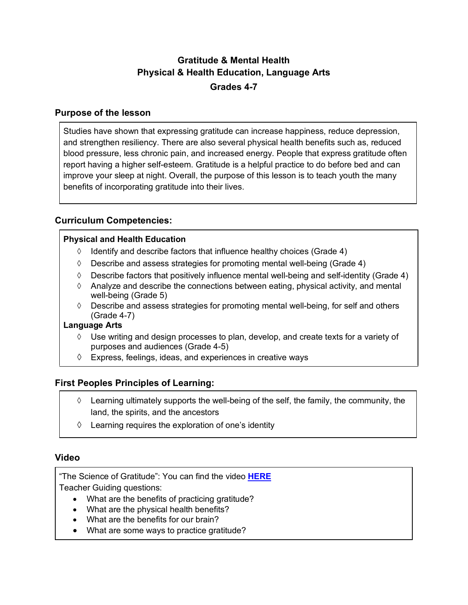# **Gratitude & Mental Health Physical & Health Education, Language Arts Grades 4-7**

# **Purpose of the lesson**

Studies have shown that expressing gratitude can increase happiness, reduce depression, and strengthen resiliency. There are also several physical health benefits such as, reduced blood pressure, less chronic pain, and increased energy. People that express gratitude often report having a higher self-esteem. Gratitude is a helpful practice to do before bed and can improve your sleep at night. Overall, the purpose of this lesson is to teach youth the many benefits of incorporating gratitude into their lives.

# **Curriculum Competencies:**

# **Physical and Health Education**

- $\Diamond$  Identify and describe factors that influence healthy choices (Grade 4)
- $\Diamond$  Describe and assess strategies for promoting mental well-being (Grade 4)
- $\Diamond$  Describe factors that positively influence mental well-being and self-identity (Grade 4)
- $\Diamond$  Analyze and describe the connections between eating, physical activity, and mental well-being (Grade 5)
- $\Diamond$  Describe and assess strategies for promoting mental well-being, for self and others (Grade 4-7)

#### **Language Arts**

- $\diamond$  Use writing and design processes to plan, develop, and create texts for a variety of purposes and audiences (Grade 4-5)
- $\Diamond$  Express, feelings, ideas, and experiences in creative ways

# **First Peoples Principles of Learning:**

- $\Diamond$  Learning ultimately supports the well-being of the self, the family, the community, the land, the spirits, and the ancestors
- $\Diamond$  Learning requires the exploration of one's identity

# **Video**

"The Science of Gratitude": You can find the video **HERE** Teacher Guiding questions:

- What are the benefits of practicing gratitude?
- What are the physical health benefits?
- What are the benefits for our brain?
- What are some ways to practice gratitude?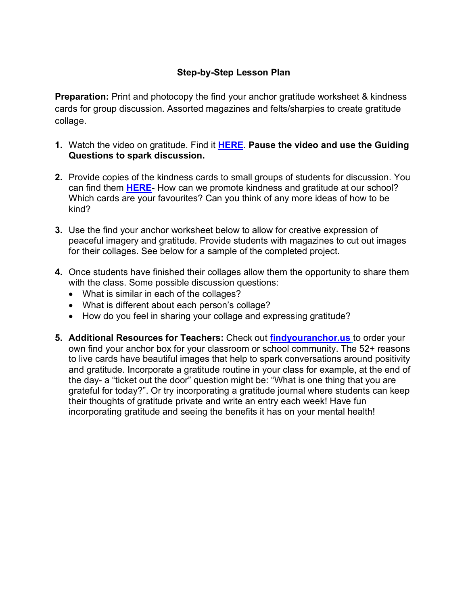# **Step-by-Step Lesson Plan**

**Preparation:** Print and photocopy the find your anchor gratitude worksheet & kindness cards for group discussion. Assorted magazines and felts/sharpies to create gratitude collage.

- **1.** Watch the video on gratitude. Find it **HERE**. **Pause the video and use the Guiding Questions to spark discussion.**
- **2.** Provide copies of the kindness cards to small groups of students for discussion. You can find them **HERE**- How can we promote kindness and gratitude at our school? Which cards are your favourites? Can you think of any more ideas of how to be kind?
- **3.** Use the find your anchor worksheet below to allow for creative expression of peaceful imagery and gratitude. Provide students with magazines to cut out images for their collages. See below for a sample of the completed project.
- **4.** Once students have finished their collages allow them the opportunity to share them with the class. Some possible discussion questions:
	- What is similar in each of the collages?
	- What is different about each person's collage?
	- How do you feel in sharing your collage and expressing gratitude?
- **5. Additional Resources for Teachers:** Check out **findyouranchor.us** to order your own find your anchor box for your classroom or school community. The 52+ reasons to live cards have beautiful images that help to spark conversations around positivity and gratitude. Incorporate a gratitude routine in your class for example, at the end of the day- a "ticket out the door" question might be: "What is one thing that you are grateful for today?". Or try incorporating a gratitude journal where students can keep their thoughts of gratitude private and write an entry each week! Have fun incorporating gratitude and seeing the benefits it has on your mental health!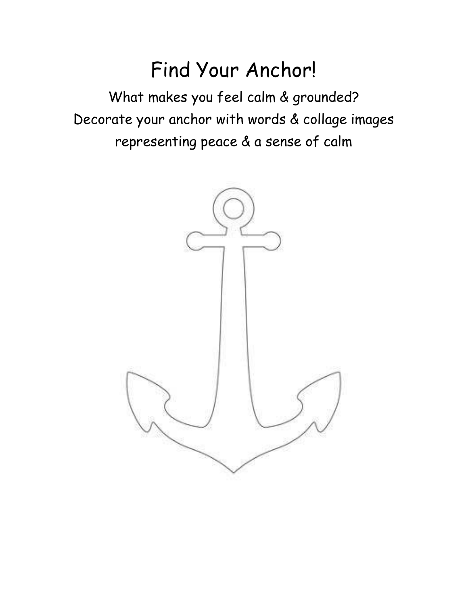# Find Your Anchor!

What makes you feel calm & grounded? Decorate your anchor with words & collage images representing peace & a sense of calm